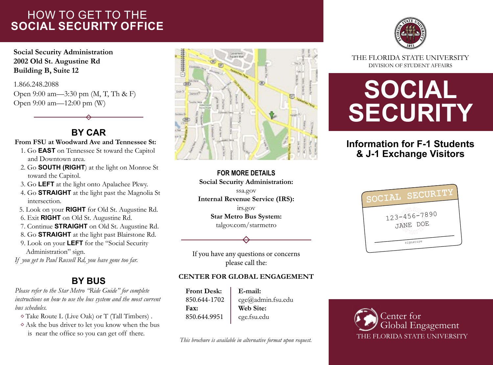## HOW TO GET TO THE **SOCIAL SECURITY OFFICE**

**Social Security Administration 2002 Old St. Augustine Rd Building B, Suite 12**

1.866.248.2088 Open 9:00 am—3:30 pm (M, T, Th & F) Open 9:00 am—12:00 pm (W)

## **BY CAR**

#### **From FSU at Woodward Ave and Tennessee St:**

- 1. Go **EAST** on Tennessee St toward the Capitol and Downtown area.
- 2. Go **SOUTH (RIGHT**) at the light on Monroe St toward the Capitol.
- 3. Go **LEFT** at the light onto Apalachee Pkwy.
- 4. Go **STRAIGHT** at the light past the Magnolia St intersection.
- 5. Look on your **RIGHT** for Old St. Augustine Rd.
- 6. Exit **RIGHT** on Old St. Augustine Rd.
- 7. Continue **STRAIGHT** on Old St. Augustine Rd.
- 8. Go **STRAIGHT** at the light past Blairstone Rd.
- 9. Look on your **LEFT** for the "Social Security Administration" sign.

*If you get to Paul Russell Rd, you have gone too far.*

## **BY BUS**

*Please refer to the Star Metro "Ride Guide" for complete instructions on how to use the bus system and the most current bus schedules.*

- Take Route L (Live Oak) or T (Tall Timbers) .
- $\diamond$  Ask the bus driver to let you know when the bus is near the office so you can get off there.



**FOR MORE DETAILS Social Security Administration:** ssa.gov **Internal Revenue Service (IRS):** irs.gov **Star Metro Bus System:** talgov.com/starmetro





THE FLORIDA STATE UNIVERSITY DIVISION OF STUDENT AFFAIRS

# **SOCIAL SECURITY**

## **Information for F-1 Students & J-1 Exchange Visitors**



If you have any questions or concerns please call the:

### **CENTER FOR GLOBAL ENGAGEMENT**

| <b>Front Desk:</b> | E-mail:           |
|--------------------|-------------------|
| 850.644-1702       | cge@admin.fsu.edu |
| Fax:               | Web Site:         |
| 850.644.9951       | cge.fsu.edu       |

*This brochure is available in alternative format upon request.*